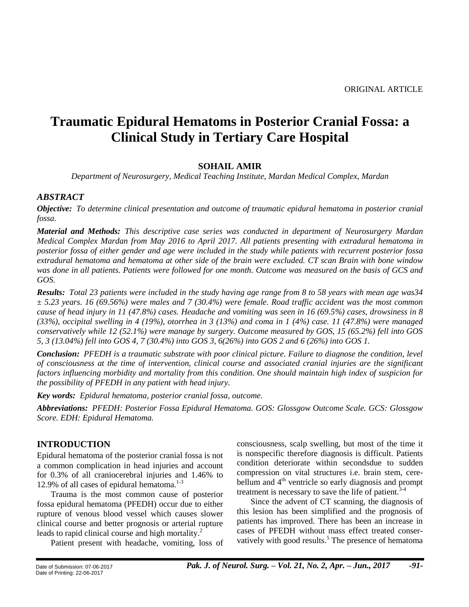# **Traumatic Epidural Hematoms in Posterior Cranial Fossa: a Clinical Study in Tertiary Care Hospital**

## **SOHAIL AMIR**

*Department of Neurosurgery, Medical Teaching Institute, Mardan Medical Complex, Mardan*

## *ABSTRACT*

*Objective: To determine clinical presentation and outcome of traumatic epidural hematoma in posterior cranial fossa.*

*Material and Methods: This descriptive case series was conducted in department of Neurosurgery Mardan Medical Complex Mardan from May 2016 to April 2017. All patients presenting with extradural hematoma in posterior fossa of either gender and age were included in the study while patients with recurrent posterior fossa extradural hematoma and hematoma at other side of the brain were excluded. CT scan Brain with bone window was done in all patients. Patients were followed for one month. Outcome was measured on the basis of GCS and GOS.*

*Results: Total 23 patients were included in the study having age range from 8 to 58 years with mean age was34 ± 5.23 years. 16 (69.56%) were males and 7 (30.4%) were female. Road traffic accident was the most common cause of head injury in 11 (47.8%) cases. Headache and vomiting was seen in 16 (69.5%) cases, drowsiness in 8 (33%), occipital swelling in 4 (19%), otorrhea in 3 (13%) and coma in 1 (4%) case. 11 (47.8%) were managed conservatively while 12 (52.1%) were manage by surgery. Outcome measured by GOS, 15 (65.2%) fell into GOS 5, 3 (13.04%) fell into GOS 4, 7 (30.4%) into GOS 3, 6(26%) into GOS 2 and 6 (26%) into GOS 1.*

*Conclusion: PFEDH is a traumatic substrate with poor clinical picture. Failure to diagnose the condition, level of consciousness at the time of intervention, clinical course and associated cranial injuries are the significant factors influencing morbidity and mortality from this condition. One should maintain high index of suspicion for the possibility of PFEDH in any patient with head injury.*

*Key words: Epidural hematoma, posterior cranial fossa, outcome.*

*Abbreviations: PFEDH: Posterior Fossa Epidural Hematoma. GOS: Glossgow Outcome Scale. GCS: Glossgow Score. EDH: Epidural Hematoma.*

## **INTRODUCTION**

Epidural hematoma of the posterior cranial fossa is not a common complication in head injuries and account for 0.3% of all craniocerebral injuries and 1.46% to 12.9% of all cases of epidural hematoma. $1-3$ 

Trauma is the most common cause of posterior fossa epidural hematoma (PFEDH) occur due to either rupture of venous blood vessel which causes slower clinical course and better prognosis or arterial rupture leads to rapid clinical course and high mortality.<sup>2</sup>

Patient present with headache, vomiting, loss of

consciousness, scalp swelling, but most of the time it is nonspecific therefore diagnosis is difficult. Patients condition deteriorate within secondsdue to sudden compression on vital structures i.e. brain stem, cerebellum and  $4<sup>th</sup>$  ventricle so early diagnosis and prompt treatment is necessary to save the life of patient.<sup>3-4</sup>

Since the advent of CT scanning, the diagnosis of this lesion has been simplified and the prognosis of patients has improved. There has been an increase in cases of PFEDH without mass effect treated conservatively with good results.<sup>5</sup> The presence of hematoma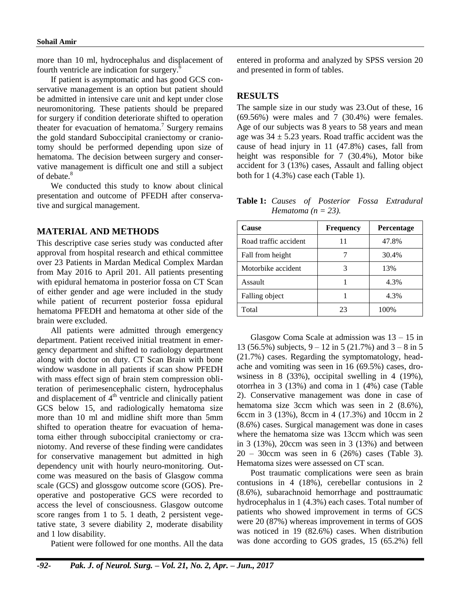more than 10 ml, hydrocephalus and displacement of fourth ventricle are indication for surgery. $6$ 

If patient is asymptomatic and has good GCS conservative management is an option but patient should be admitted in intensive care unit and kept under close neuromonitoring. These patients should be prepared for surgery if condition deteriorate shifted to operation theater for evacuation of hematoma.<sup>7</sup> Surgery remains the gold standard Suboccipital craniectomy or craniotomy should be performed depending upon size of hematoma. The decision between surgery and conservative management is difficult one and still a subject of debate. 8

We conducted this study to know about clinical presentation and outcome of PFEDH after conservative and surgical management.

#### **MATERIAL AND METHODS**

This descriptive case series study was conducted after approval from hospital research and ethical committee over 23 Patients in Mardan Medical Complex Mardan from May 2016 to April 201. All patients presenting with epidural hematoma in posterior fossa on CT Scan of either gender and age were included in the study while patient of recurrent posterior fossa epidural hematoma PFEDH and hematoma at other side of the brain were excluded.

All patients were admitted through emergency department. Patient received initial treatment in emergency department and shifted to radiology department along with doctor on duty. CT Scan Brain with bone window wasdone in all patients if scan show PFEDH with mass effect sign of brain stem compression obliteration of perimesencephalic cistern, hydrocephalus and displacement of  $4<sup>th</sup>$  ventricle and clinically patient GCS below 15, and radiologically hematoma size more than 10 ml and midline shift more than 5mm shifted to operation theatre for evacuation of hematoma either through suboccipital craniectomy or craniotomy. And reverse of these finding were candidates for conservative management but admitted in high dependency unit with hourly neuro-monitoring. Outcome was measured on the basis of Glasgow comma scale (GCS) and glossgow outcome score (GOS). Preoperative and postoperative GCS were recorded to access the level of consciousness. Glasgow outcome score ranges from 1 to 5. 1 death, 2 persistent vegetative state, 3 severe diability 2, moderate disability and 1 low disability.

Patient were followed for one months. All the data

entered in proforma and analyzed by SPSS version 20 and presented in form of tables.

#### **RESULTS**

The sample size in our study was 23.Out of these, 16 (69.56%) were males and 7 (30.4%) were females. Age of our subjects was 8 years to 58 years and mean age was  $34 \pm 5.23$  years. Road traffic accident was the cause of head injury in 11 (47.8%) cases, fall from height was responsible for 7 (30.4%), Motor bike accident for 3 (13%) cases, Assault and falling object both for 1 (4.3%) case each (Table 1).

**Table 1:** *Causes of Posterior Fossa Extradural Hematoma* ( $n = 23$ ).

| <b>Cause</b>          | <b>Frequency</b> | Percentage |  |
|-----------------------|------------------|------------|--|
| Road traffic accident | 11               | 47.8%      |  |
| Fall from height      |                  | 30.4%      |  |
| Motorbike accident    | 3                | 13%        |  |
| Assault               |                  | 4.3%       |  |
| Falling object        |                  | 4.3%       |  |
| Total                 | 23               | 100%       |  |

Glasgow Coma Scale at admission was 13 – 15 in 13 (56.5%) subjects,  $9 - 12$  in 5 (21.7%) and  $3 - 8$  in 5 (21.7%) cases. Regarding the symptomatology, headache and vomiting was seen in 16 (69.5%) cases, drowsiness in 8 (33%), occipital swelling in 4 (19%), otorrhea in 3 (13%) and coma in 1 (4%) case (Table 2). Conservative management was done in case of hematoma size 3ccm which was seen in 2 (8.6%), 6ccm in 3 (13%), 8ccm in 4 (17.3%) and 10ccm in 2 (8.6%) cases. Surgical management was done in cases where the hematoma size was 13ccm which was seen in 3 (13%), 20ccm was seen in 3 (13%) and between 20 – 30ccm was seen in 6 (26%) cases (Table 3). Hematoma sizes were assessed on CT scan.

Post traumatic complications were seen as brain contusions in 4 (18%), cerebellar contusions in 2 (8.6%), subarachnoid hemorrhage and posttraumatic hydrocephalus in 1 (4.3%) each cases. Total number of patients who showed improvement in terms of GCS were 20 (87%) whereas improvement in terms of GOS was noticed in 19 (82.6%) cases. When distribution was done according to GOS grades, 15 (65.2%) fell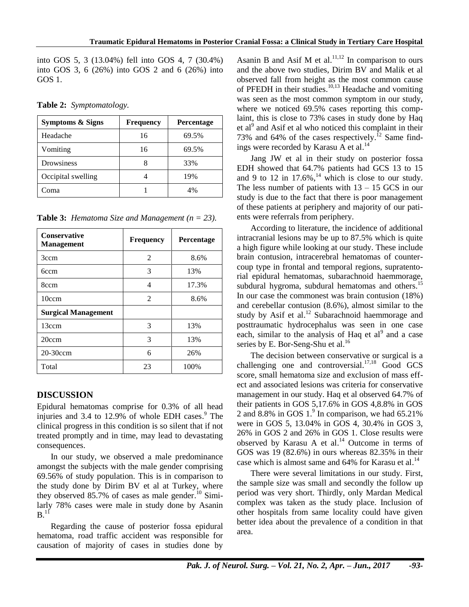into GOS 5, 3 (13.04%) fell into GOS 4, 7 (30.4%) into GOS 3, 6 (26%) into GOS 2 and 6 (26%) into GOS 1.

| Symptoms & Signs   | <b>Frequency</b> | <b>Percentage</b> |
|--------------------|------------------|-------------------|
| Headache           | 16               | 69.5%             |
| Vomiting           | 16               | 69.5%             |
| Drowsiness         |                  | 33%               |
| Occipital swelling |                  | 19%               |
| Coma               |                  | 4%                |

**Table 2:** *Symptomatology.*

**Table 3:** *Hematoma Size and Management (n = 23).*

| <b>Conservative</b><br><b>Management</b> | <b>Frequency</b> | <b>Percentage</b> |  |
|------------------------------------------|------------------|-------------------|--|
| 3ccm                                     | $\mathfrak{D}$   | 8.6%              |  |
| 6ccm                                     | 3                | 13%               |  |
| 8ccm                                     | 4                | 17.3%             |  |
| 10ccm                                    | $\mathfrak{D}$   | 8.6%              |  |
| <b>Surgical Management</b>               |                  |                   |  |
| 13ccm                                    | 3                | 13%               |  |
| 20ccm                                    | 3                | 13%               |  |
| 20-30ccm                                 | 6                | 26%               |  |
| Total                                    | 23               | 100%              |  |

# **DISCUSSION**

Epidural hematomas comprise for 0.3% of all head injuries and 3.4 to 12.9% of whole EDH cases. <sup>9</sup> The clinical progress in this condition is so silent that if not treated promptly and in time, may lead to devastating consequences.

In our study, we observed a male predominance amongst the subjects with the male gender comprising 69.56% of study population. This is in comparison to the study done by Dirim BV et al at Turkey, where they observed 85.7% of cases as male gender.<sup>10</sup> Similarly 78% cases were male in study done by Asanin  $B.<sup>11</sup>$ 

Regarding the cause of posterior fossa epidural hematoma, road traffic accident was responsible for causation of majority of cases in studies done by

Asanin B and Asif M et al. $^{11,12}$  In comparison to ours and the above two studies, Dirim BV and Malik et al observed fall from height as the most common cause of PFEDH in their studies.<sup>10,13</sup> Headache and vomiting was seen as the most common symptom in our study, where we noticed 69.5% cases reporting this complaint, this is close to 73% cases in study done by Haq et al<sup>9</sup> and Asif et al who noticed this complaint in their 73% and 64% of the cases respectively.<sup>12</sup> Same findings were recorded by Karasu A et al.<sup>14</sup>

Jang JW et al in their study on posterior fossa EDH showed that 64.7% patients had GCS 13 to 15 and 9 to 12 in  $17.6\%$ ,<sup>14</sup> which is close to our study. The less number of patients with  $13 - 15$  GCS in our study is due to the fact that there is poor management of these patients at periphery and majority of our patients were referrals from periphery.

According to literature, the incidence of additional intracranial lesions may be up to 87.5% which is quite a high figure while looking at our study. These include brain contusion, intracerebral hematomas of countercoup type in frontal and temporal regions, supratentorial epidural hematomas, subarachnoid haemmorage, subdural hygroma, subdural hematomas and others.<sup>15</sup> In our case the commonest was brain contusion (18%) and cerebellar contusion (8.6%), almost similar to the study by Asif et al.<sup>12</sup> Subarachnoid haemmorage and posttraumatic hydrocephalus was seen in one case each, similar to the analysis of Haq et  $al<sup>9</sup>$  and a case series by E. Bor-Seng-Shu et al.<sup>16</sup>

The decision between conservative or surgical is a challenging one and controversial.<sup>17,18</sup> Good GCS score, small hematoma size and exclusion of mass effect and associated lesions was criteria for conservative management in our study. Haq et al observed 64.7% of their patients in GOS 5,17.6% in GOS 4,8.8% in GOS 2 and 8.8% in GOS  $1<sup>9</sup>$  In comparison, we had 65.21% were in GOS 5, 13.04% in GOS 4, 30.4% in GOS 3, 26% in GOS 2 and 26% in GOS 1. Close results were observed by Karasu A et al.<sup>14</sup> Outcome in terms of GOS was 19 (82.6%) in ours whereas 82.35% in their case which is almost same and 64% for Karasu et al.<sup>14</sup>

There were several limitations in our study. First, the sample size was small and secondly the follow up period was very short. Thirdly, only Mardan Medical complex was taken as the study place. Inclusion of other hospitals from same locality could have given better idea about the prevalence of a condition in that area.